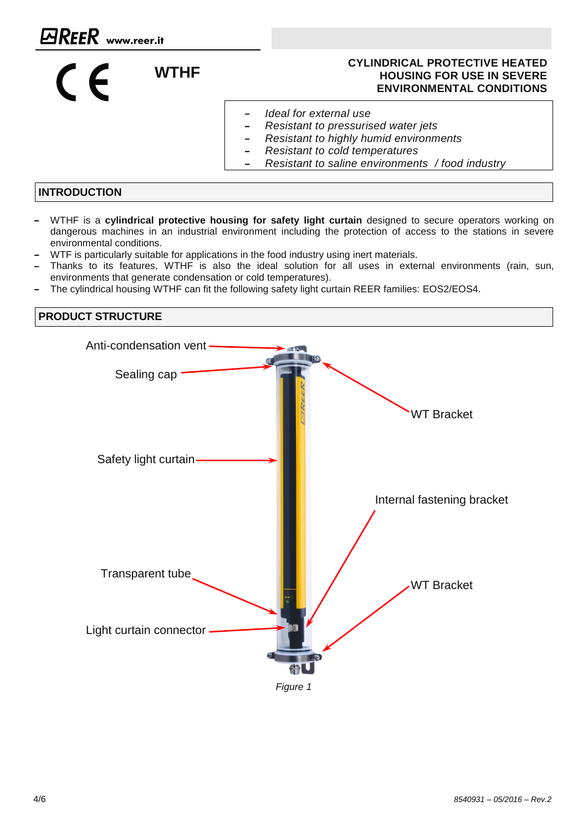#### **WTHE CYLINDRICAL PROTECTIVE HEATED HOUSING FOR USE IN SEVERE ENVIRONMENTAL CONDITIONS**

- *Ideal for external use*
- $\overline{a}$ *Resistant to pressurised water jets*
- *Resistant to highly humid environments*
- *Resistant to cold temperatures*
- *Resistant to saline environments / food industry*

## **INTRODUCTION**

 $C$ 

- WTHF is a **cylindrical protective housing for safety light curtain** designed to secure operators working on dangerous machines in an industrial environment including the protection of access to the stations in severe environmental conditions.
- WTF is particularly suitable for applications in the food industry using inert materials.
- Thanks to its features, WTHF is also the ideal solution for all uses in external environments (rain, sun, environments that generate condensation or cold temperatures).
- The cylindrical housing WTHF can fit the following safety light curtain REER families: EOS2/EOS4.

# **PRODUCT STRUCTURE** Anti-condensation vent Sealing cap Safety light curtain-Transparent tube Light curtain connector -*Figure 1* WT Bracket Internal fastening bracket WT Bracket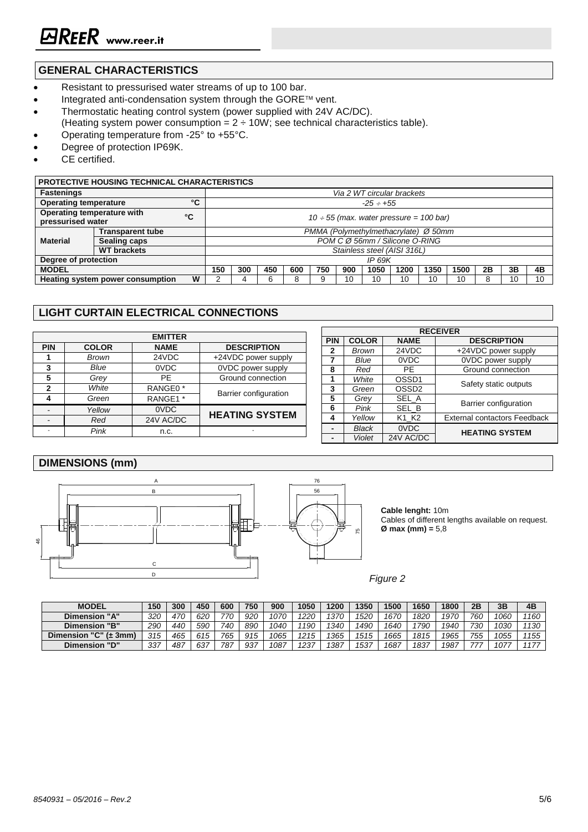# **GENERAL CHARACTERISTICS**

- Resistant to pressurised water streams of up to 100 bar.
- Integrated anti-condensation system through the GORE™ vent.
- Thermostatic heating control system (power supplied with 24V AC/DC). (Heating system power consumption =  $2 \div 10W$ ; see technical characteristics table).
- Operating temperature from -25° to +55°C.
- Degree of protection IP69K.
- CE certified.

#### **PROTECTIVE HOUSING TECHNICAL CHARACTERISTICS**

| <b>Fastenings</b>                                     | Via 2 WT circular brackets |                                              |                |     |     |     |     |      |      |      |      |    |    |    |
|-------------------------------------------------------|----------------------------|----------------------------------------------|----------------|-----|-----|-----|-----|------|------|------|------|----|----|----|
| °C<br><b>Operating temperature</b>                    |                            |                                              | $-25 \div 155$ |     |     |     |     |      |      |      |      |    |    |    |
| Operating temperature with<br>°C<br>pressurised water |                            | $10 \div 55$ (max. water pressure = 100 bar) |                |     |     |     |     |      |      |      |      |    |    |    |
| <b>Material</b>                                       | <b>Transparent tube</b>    | PMMA (Polymethylmethacrylate) Ø 50mm         |                |     |     |     |     |      |      |      |      |    |    |    |
|                                                       | Sealing caps               | POM C Ø 56mm / Silicone O-RING               |                |     |     |     |     |      |      |      |      |    |    |    |
|                                                       | <b>WT</b> brackets         | Stainless steel (AISI 316L)                  |                |     |     |     |     |      |      |      |      |    |    |    |
| Degree of protection                                  |                            |                                              | <b>IP 69K</b>  |     |     |     |     |      |      |      |      |    |    |    |
| <b>MODEL</b>                                          |                            |                                              | 300            | 450 | 600 | 750 | 900 | 1050 | 1200 | 1350 | 1500 | 2B | 3Β | 4B |
| W<br>Heating system power consumption                 |                            |                                              |                | 6   |     |     | 10  | 10   | 10   | 10   | 10   |    | 10 | 10 |
|                                                       |                            |                                              |                |     |     |     |     |      |      |      |      |    |    |    |

## **LIGHT CURTAIN ELECTRICAL CONNECTIONS**

|            |              |                     |                       |            | <b>RECEIVER</b> |                   |                                     |  |  |  |  |
|------------|--------------|---------------------|-----------------------|------------|-----------------|-------------------|-------------------------------------|--|--|--|--|
|            |              | <b>EMITTER</b>      |                       | <b>PIN</b> | <b>COLOR</b>    | <b>NAME</b>       | <b>DESCRIPTION</b>                  |  |  |  |  |
| <b>PIN</b> | <b>COLOR</b> | <b>NAME</b>         | <b>DESCRIPTION</b>    |            | Brown           | 24VDC             | +24VDC power supply                 |  |  |  |  |
|            | Brown        | 24VDC               | +24VDC power supply   |            | Blue            | 0VDC              | 0VDC power supply                   |  |  |  |  |
|            | Blue         | 0VDC                | 0VDC power supply     | 8          | Red             | PF                | Ground connection                   |  |  |  |  |
|            | Grey         | PE                  | Ground connection     |            | White           | OSSD <sub>1</sub> |                                     |  |  |  |  |
| 2          | White        | RANGE0 <sup>*</sup> |                       | 3          | Green           | OSSD <sub>2</sub> | Safety static outputs               |  |  |  |  |
| 4          | Green        | RANGE1 *            | Barrier configuration | 5          | Grev            | SEL_A             | <b>Barrier configuration</b>        |  |  |  |  |
|            | Yellow       | 0VDC                |                       | 6          | Pink            | SEL B             |                                     |  |  |  |  |
|            | Red          | 24V AC/DC           | <b>HEATING SYSTEM</b> | 4          | Yellow          | K1 K2             | <b>External contactors Feedback</b> |  |  |  |  |
|            | Pink         | n.c.                |                       |            | <b>Black</b>    | 0VDC              | <b>HEATING SYSTEM</b>               |  |  |  |  |
|            |              |                     |                       |            | <b>Violet</b>   | 24V AC/DC         |                                     |  |  |  |  |

### **DIMENSIONS (mm)**



**Cable lenght:** 10m Cables of different lengths available on request. **Ø max (mm) =** 5,8

*Figure 2*

| <b>MODEL</b>                        | 150 | 300 | 450 | 600 | 750 | 900  | 1050 | 1200 | 1350 | 1500 | 1650 | 1800 | 2B  | 3B   | 4B   |
|-------------------------------------|-----|-----|-----|-----|-----|------|------|------|------|------|------|------|-----|------|------|
| <b>Dimension "A"</b>                | 320 | 470 | 620 | 770 | 920 | 1070 | 220  | 1370 | 1520 | 1670 | 1820 | 1970 | 760 | 1060 | 1160 |
| <b>Dimension "B"</b>                | 290 | 440 | 590 | 740 | 890 | 1040 | 190  | 1340 | 1490 | 1640 | 790  | 1940 | 730 | 1030 | 1130 |
| "C" $(\pm 3$ mm<br><b>Dimension</b> | 315 | 465 | 615 | 765 | 915 | 1065 | 1215 | 365  | 1515 | 1665 | 1815 | 1965 | 755 | 1055 | 1155 |
| "D"<br><b>Dimension</b>             | 337 | 487 | 637 | 787 | רמח | 1087 | 237  | '387 | 1537 | 1687 | 1837 | 1987 |     | 107  | 1177 |